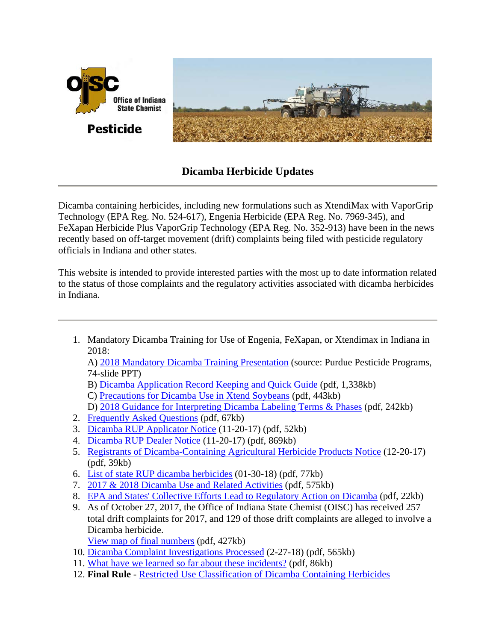

## **Dicamba Herbicide Updates**

Dicamba containing herbicides, including new formulations such as XtendiMax with VaporGrip Technology (EPA Reg. No. 524-617), Engenia Herbicide (EPA Reg. No. 7969-345), and FeXapan Herbicide Plus VaporGrip Technology (EPA Reg. No. 352-913) have been in the news recently based on off-target movement (drift) complaints being filed with pesticide regulatory officials in Indiana and other states.

This website is intended to provide interested parties with the most up to date information related to the status of those complaints and the regulatory activities associated with dicamba herbicides in Indiana.

1. Mandatory Dicamba Training for Use of Engenia, FeXapan, or Xtendimax in Indiana in 2018:

A) [2018 Mandatory Dicamba Training Presentation](https://ppp.purdue.edu/private-applicators/educator-resources/) (source: Purdue Pesticide Programs, 74-slide PPT)

- B) [Dicamba Application Record Keeping and Quick Guide](http://www.oisc.purdue.edu/pesticide/pdf/dicamba_app_record_keeping_quick_guide.pdf) (pdf, 1,338kb)
- C) [Precautions for Dicamba Use in Xtend Soybeans](http://www.oisc.purdue.edu/pesticide/pdf/precautions_dicamba_use_xtend.pdf) (pdf, 443kb)
- D) [2018 Guidance for Interpreting Dicamba Labeling Terms & Phases](http://www.oisc.purdue.edu/pesticide/pdf/2018_dicamba_labeling_guidance.pdf) (pdf, 242kb)
- 2. [Frequently Asked Questions](http://www.oisc.purdue.edu/pesticide/pdf/dicamba_faq.pdf) (pdf, 67kb)
- 3. [Dicamba RUP Applicator Notice](http://www.oisc.purdue.edu/pesticide/pdf/dicamba_rup_applicator_mailer.pdf) (11-20-17) (pdf, 52kb)
- 4. [Dicamba RUP Dealer Notice](http://www.oisc.purdue.edu/pesticide/pdf/dicamba_rup_dealer_mailer.pdf) (11-20-17) (pdf, 869kb)
- 5. [Registrants of Dicamba-Containing Agricultural Herbicide Products Notice](http://www.oisc.purdue.edu/pesticide/pdf/dicamba_rup_registrant_mailer.pdf) (12-20-17) (pdf, 39kb)
- 6. [List of state RUP dicamba herbicides](http://www.oisc.purdue.edu/pesticide/pdf/state_dicamba_rups.pdf) (01-30-18) (pdf, 77kb)
- 7. [2017 & 2018 Dicamba Use and Related Activities](http://www.oisc.purdue.edu/pesticide/iprb/iprb_152_dicamba_to_date.pdf) (pdf, 575kb)
- 8. [EPA and States' Collective Efforts Lead to Regulatory Action on Dicamba](http://www.oisc.purdue.edu/pesticide/pdf/dicamba_epa_program_updates.pdf) (pdf, 22kb)
- 9. As of October 27, 2017, the Office of Indiana State Chemist (OISC) has received 257 total drift complaints for 2017, and 129 of those drift complaints are alleged to involve a Dicamba herbicide.
	- [View map of final numbers](http://www.oisc.purdue.edu/pesticide/pdf/dicamba_final_numbers.pdf) (pdf, 427kb)
- 10. [Dicamba Complaint Investigations Processed](http://www.oisc.purdue.edu/pesticide/pdf/dicamba_case_map.pdf) (2-27-18) (pdf, 565kb)
- 11. [What have we learned so far about these incidents?](http://www.oisc.purdue.edu/pesticide/pdf/dicamba_data_fy-17%282%29.pdf) (pdf, 86kb)
- 12. **Final Rule** [Restricted Use Classification of Dicamba Containing Herbicides](http://www.oisc.purdue.edu/oisc_rules_regs_laws.html#pestlaws)